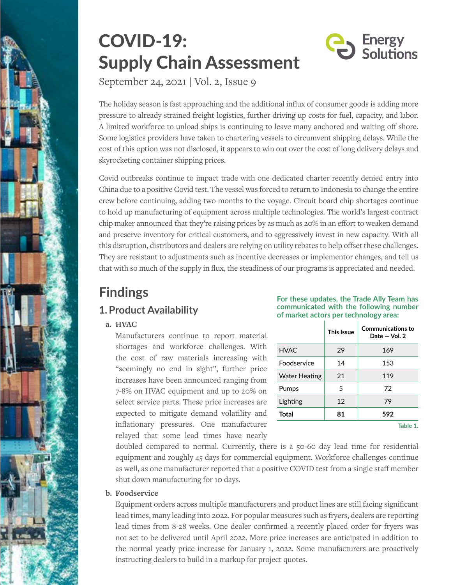

## COVID-19: Supply Chain Assessment



September 24, 2021 | Vol. 2, Issue 9

The holiday season is fast approaching and the additional influx of consumer goods is adding more pressure to already strained freight logistics, further driving up costs for fuel, capacity, and labor. A limited workforce to unload ships is continuing to leave many anchored and waiting off shore. Some logistics providers have taken to chartering vessels to circumvent shipping delays. While the cost of this option was not disclosed, it appears to win out over the cost of long delivery delays and skyrocketing container shipping prices.

Covid outbreaks continue to impact trade with one dedicated charter recently denied entry into China due to a positive Covid test. The vessel was forced to return to Indonesia to change the entire crew before continuing, adding two months to the voyage. Circuit board chip shortages continue to hold up manufacturing of equipment across multiple technologies. The world's largest contract chip maker announced that they're raising prices by as much as 20% in an effort to weaken demand and preserve inventory for critical customers, and to aggressively invest in new capacity. With all this disruption, distributors and dealers are relying on utility rebates to help offset these challenges. They are resistant to adjustments such as incentive decreases or implementor changes, and tell us that with so much of the supply in flux, the steadiness of our programs is appreciated and needed.

# **Findings**

## **1.Product Availability**

**a. HVAC**

Manufacturers continue to report material shortages and workforce challenges. With the cost of raw materials increasing with "seemingly no end in sight", further price increases have been announced ranging from 7-8% on HVAC equipment and up to 20% on select service parts. These price increases are expected to mitigate demand volatility and inflationary pressures. One manufacturer relayed that some lead times have nearly

| For these updates, the Trade Ally Team has |  |  |
|--------------------------------------------|--|--|
| communicated with the following number     |  |  |
| of market actors per technology area:      |  |  |

|                      | This Issue | <b>Communications to</b><br>Date $-$ Vol. 2 |
|----------------------|------------|---------------------------------------------|
| <b>HVAC</b>          | 29         | 169                                         |
| Foodservice          | 14         | 153                                         |
| <b>Water Heating</b> | 21         | 119                                         |
| Pumps                | 5          | 72                                          |
| Lighting             | 12         | 79                                          |
| <b>Total</b>         | 81         | 592                                         |
|                      |            | Table 1.                                    |

doubled compared to normal. Currently, there is a 50-60 day lead time for residential equipment and roughly 45 days for commercial equipment. Workforce challenges continue as well, as one manufacturer reported that a positive COVID test from a single staff member shut down manufacturing for 10 days.

## **b. Foodservice**

Equipment orders across multiple manufacturers and product lines are still facing significant lead times, many leading into 2022. For popular measures such as fryers, dealers are reporting lead times from 8-28 weeks. One dealer confirmed a recently placed order for fryers was not set to be delivered until April 2022. More price increases are anticipated in addition to the normal yearly price increase for January 1, 2022. Some manufacturers are proactively instructing dealers to build in a markup for project quotes.